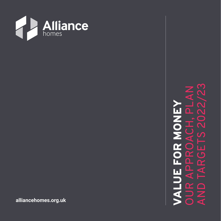

AND TARGETS 2022/23OUR APPROACH, PLAN VALUE FOR MONEY 11  $\mathbf{a}$ ◀ 17  $\bf \bar{\alpha}$  $\overline{\mathbf{p}}$  $\Omega$ П  $\blacktriangleleft$ HALL  $\alpha$  $\Box$  $\angle$ đ

**alliancehomes.org.uk**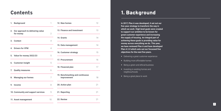### Contents

| 1. | <b>Background</b>                                | 1              |
|----|--------------------------------------------------|----------------|
|    | 2. Our approach to delivering value<br>for money | $\overline{2}$ |
|    | 3. Context                                       | 4              |
|    | 4. Drivers for VFM                               | 4              |
|    | 5. Value for money 2022/23                       | 5              |
|    | 6. Customer insight                              | 5              |
|    | 7. Quality measures                              | 6              |
|    | 8. Managing our homes                            | 7              |
| 9. | <b>Income</b>                                    | 8              |
|    | 10. Community and support services               | 9              |
|    | 11. Asset management                             | 10             |

| 12 |
|----|
| 13 |
| 14 |
| 14 |
| 15 |
| 16 |
| 17 |
| 18 |
| 21 |
| 21 |
| 21 |
|    |

# 1. Background

**In 2017, Plan A was developed, it set out our five-year strategy to transform the way in which we work. High level goals were created to support our ambition to be known for great customer experience and increasing the supply of housing. An integral part of achieving these goals is providing value for money across everything we do. This year, we have reviewed Plan A and have developed Plan A 2.0 which sets out our focussed five objectives for the next five years.**

- Delivering a great customer experience
- Building more affordable homes
- Being a green and ethical business
- **•** Investing in existing homes and neighbourhoods
- Being a great place to work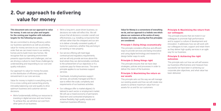# 2. Our approach to delivering value for money

**This document sets out our approach to value for money. It sets out our plan and targets for the coming year together with indicative targets for the following two years.** 

We are committed to driving efficiency within our business operations as well as providing value for money services to our customers, in order that we can invest more in our existing homes and to build more new homes. We recognise that our operating environment presents opportunities and challenges, and we are driving a culture to meet those challenges by understanding and responding to our cost and quality indicators.

• We're fundamentally shifting our resources to investing in digital services and new homes. To achieve this, we will drive out cost from other parts of our business.

Our approach to value for money focusses on the distribution of efficiency gains into reinvestment in our core services.

Value for money is implicit in everything we do. It is a cross cutting and overarching priority, intricately balancing cost and quality to drive optimum business and customer service decisions.

- We're a long term, asset driven business, so decisions we make will reflect this. We will ensure that all decisions consider overall cost effectiveness, e.g. installing components that will last rather than the cheapest and our aim is to deliver a broadly consistent quality of home for customers, whether they are living in an existing or new property.
- Our service offering will meet legal, contractual and regulatory requirements, and we will only provide services above this level where they can demonstrably contribute to the achievement of our objectives or if a customer pays for these services. The same principle applies to our business support services.
- Overheads, including business support services, are actively managed and flex in size to reflect the scale, complexity and requirements of our business activities.
- Our colleague offer is market-aligned, it's tailored to each sector or employment market. We will use a mixed economy of permanent. fixed term and contracted employees to achieve flexibility, high quality results and maximum business efficiency.

**Value for Money is a cornerstone of everything we do, and our approach is a holistic one which places our customers at the centre of every decision we make, ensuring that five principles are considered:**

### Principle 1: Doing things economically

This principle considers effective and efficient ways to provide services and being innovative and using digital technology and research to design better ways to work.

### Principle 2: Doing things right

This principle ensures that we have clear strategies, policies and processes in order to deliver the vision of the business.

### Principle 3: Maximising the return on our assets

This principle sets out the way we will manage our existing assets and how we will create new assets to achieve maximum value from our assets for us and for our customers.

### Principle 4: Maximising the return from our colleagues

This principle ensures that we invest in our colleagues to promote high performance and to support a culture of development and innovation. It addresses how we will work with our colleagues to train, support and retain them as they deliver high-quality services in an agile way for our business.

### Principle 5: Achieving the right outcomes

This principle sets out how we will self-assess our business effectiveness and measure how successful we have been in achieving our corporate plan objectives, and what value has been delivered.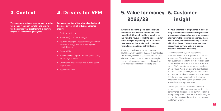**This document sets out our approach to value for money. It sets out our plan and targets for the coming year together with indicative targets for the following two years.**

**We have a number of key internal and external business drivers which influence value for money:**

- Customer insights
- Plan A 2.0 (Corporate Strategy)
- Four key strategies Asset Strategy, Customer Services Strategy, Resource Strategy and People Strategy
- Financial Plan
- Benchmarking our performance against other, similar organisations
- Governance and risk, including building safety requirements
- Economic climate

## 3. Context 4. Drivers for VFM

**Two years since the global pandemic was announced and all covid restrictions have been lifted. Although the UK is learning to live with the virus, it is likely to be present for some time yet. In planning for 2022/23 we have assumed that society will continue to return to pre-pandemic activity levels.**

A year ago, the Board approved four new strategies which support Plan A 2.0. Over the last few months, we have undertaken our third Great Places to Work (GPTW) survey. An action plan has been drawn up in response to this and this work has also been included in our plans.

# 5. Value for money 2022/23

**We have a number of programmes in place to bring the customer voice into the organisation to inform decision making, shape our services and improve the customer experience. These include HIVE, our online community platform which has close to 700 active members; our transactional surveys; and our bi-annual customer experience KPI survey.** 

Transactional surveys are designed to measure the customer experience at specific touchpoints. These include the experience of new customers who have just moved into their home; feedback on our Home Repairs Service via our SMS day after repair survey; feedback on our Major Works programme; our Support and Adult Carers services; our contact centre and how we handle Complaints and ASB cases. Results are used to understand the current experience and what learnings we can take forward to drive improvements.

Twice a year, we also measure our overall performance with our customer experience key performance indicator (KPIs) survey. To ensure transparency around how we are performing, we publish the results of these KPIs in our Annual Customer Review.

# 6. Customer insight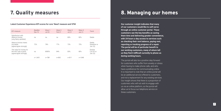# 7. Quality measures

| <b>KPI</b> measure                                                          | <b>Baseline</b><br><b>Nov 19</b> | Wave 1<br>Jul 20 | Wave 2<br>Feb 21 | Wave 3<br>Jul 21 | Wave 4<br>Jan 21 | Trend                             |
|-----------------------------------------------------------------------------|----------------------------------|------------------|------------------|------------------|------------------|-----------------------------------|
| Satisfaction with<br>Alliance Homes<br>(very/fairly satisfied)              | na                               | na               | na               | 80%              | 82%              | Stable                            |
| Alliance Homes meets<br>my needs<br>(agree/agree strongly)                  | 72%                              | 78%              | 77%              | 73%              | 75%              | Stable<br>(baseline vs<br>Jan 22) |
| The value for money for<br>the rent I pay is good<br>(agree/agree strongly) | na                               | 8585%            | 84%              | 83%              | 80%              | Decline<br>(Jul 20 vs<br>Jan 22)  |
|                                                                             | $n = 1.405$                      | $n = 788$        | $n = 892$        | $n = 811$        | $n = 1048$       |                                   |

#### **Latest Customer Experience KPI scores for core 'Need' measure and VFM**

### 8. Managing our homes

**Our customer insight indicates that many of our customers would like to self-serve through an online customer portal. These customers see the key benefits as saving them time and delivering greater convenience, with 24 hours a day access to services such as checking their rent balance, paying rent, reporting or tracking progress of a repair. The portal will be of particular benefit to our working customers, many of whom tell us they find it difficult currently to phone us during working hours.** 

The portal will also be a positive step forward for customers who suffer from anxiety or stress when having to make phone calls, and who have a preference for communicating online. It is important to note that an online portal will be an additional service offered to customers, and not a replacement for any existing services. Our insight shows that there is a proportion of customers who will not wish to engage with us via an online platform, so the portal will allow us to focus our telephone service on these customers.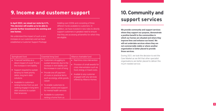**9**

## 9. Income and customer support

**In April 2022, we raised our rents by 4.1%. This decision will enable us to be able to provide further investment into existing and new homes.** 

We understand the impact of such a rent increase on our customers and we have established a Customer Support Package

totalling over £200k and consisting of three different funds available to customers. In addition, we have invested in new roles to directly support customers in greatest need to ensure that they are accessing all benefits for which they are eligible.

| Springboard fund                                                                                                                                                                                                                                             | <b>Essential living fund</b>                                                                                                                                                                                                                              | Alliance charitable fund                                                                                                                                                                                                             |
|--------------------------------------------------------------------------------------------------------------------------------------------------------------------------------------------------------------------------------------------------------------|-----------------------------------------------------------------------------------------------------------------------------------------------------------------------------------------------------------------------------------------------------------|--------------------------------------------------------------------------------------------------------------------------------------------------------------------------------------------------------------------------------------|
| Financial hardship as a<br>$\bullet$<br>direct impact of covid 19 and<br>the increase in rent liability<br>Support required to sustain<br>$\bullet$<br>tenancy to meet priority<br>debts, long term debt<br>solutions<br>Available to customers<br>$\bullet$ | Customers struggling to<br>$\bullet$<br>sustain tenancies due to the<br>increase in rent liability and<br>the increase in cost of living<br>Provide one off payment<br>$\bullet$<br>of costs or practical items<br>such as energy, white goods,<br>carpet | Real time crisis intervention<br>$\bullet$<br>Provision of small awards for<br>crisis interventation such as<br>food, energy or travel costs.<br>Availale to any customer<br>engaged with any services<br>offered by Alliance Homes. |
| renting homes from us and<br>seeking engage in long term<br>debt solutions to sustain<br>their tenancies                                                                                                                                                     | To enable customers to<br>$\bullet$<br>access, advise and support<br>for mental health services<br>Available to customers<br>$\bullet$<br>renting a home from us                                                                                          |                                                                                                                                                                                                                                      |

**We provide community and support services where they support our purpose, demonstrate a positive benefit to the communities in which our homes are situated and where they improve lives and enhance our brand. We will not undertake services where they are not commercially viable or where another organisation is better placed to provide those services.** 

During 2021, we took the decision to exit the Care Market as we felt that other specialist organisations are better placed to deliver this much-needed service.

# 10. Community and support services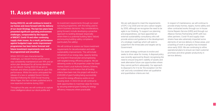

### 11. Asset management

**During 2022/23, we will continue to invest in our homes and move forward with the delivery of our Asset Strategy. The last two years have presented significant operating environment challenges, compounded by the impacts of BREXIT, Covid-19 and other continuing supply chain issues. As a result, performance against budgeted major works improvement programmes has been below forecast and future investment requirements now need to be programmed and smoothed.** 

Whilst 2021/22 was characterised by challenges, our Decent Homes performance was consistently maintained at over 99% and an action plan developed for all homes identified as non-decent. During 2022/23 we aim to maintain and where possible improve upon this performance. Whilst the sector anticipated the release of a new or updated Decent Homes Standard following the 2020 Social Housing White Paper, this has not been published and is now expected sometime during 2022.

Throughout the year, we will continue to capture more intelligence about our stock profile and

We will continue to assess our future investment requirements for decarbonisation and wider sustainability improvements. This will include refinement of our energy data, capacity testing our long-term financial plan and progressing with targeted energy efficiency projects. We are delivering works to 48 properties under the Green Homes Grant Local Authority Delivery Scheme, and subject to confirmation that all funding criteria have been met, this project will result in £245,000 of grant funding being successfully secured for energy efficiency works on our housing stock. In 2022/23 we will continue to seek opportunities to maximise value for money by securing external grant funding for energy efficiency measures where practicable.

its investment requirements through our asset surveying programme, with this being used to inform business decisions. Key considerations, going forward, include developing a proactive approach to tackling disrepair (especially where there is a potential building fabric failure) and ensuring building safety compliance (particularly fire safety).

We are well placed to meet the requirements of EPC C by 2030 and net zero carbon targets by 2050, although we recognise the need to be agile in our thinking. To support our planning and preparedness, we have appointed an external sustainability consultancy who will provide advice and guidance in the development of a strategic roadmap which will seek to outperform the timescales and targets set by Government.

Our asset strategy continues to evolve and seeks to drive value for money. A disposal policy was recently approved by Board, recognising the need to ensure long term viability of assets and seek alternative future use opportunities where they cannot perform adequately. Our approach to disposal is for it to be 'the exception not the rule' and only considered when set qualitative and quantitative criteria are met.

In respect of maintenance, we will continue to provide empty homes, repairs, home safety and other contracted works through our in-house Home Repairs Service (HRS) and through our Alliance Homes Partnership (AHP) with two other partners. Covid-19 and supply chain strains have also adversely impacted some elements of service delivery in these areas, and a backlog of work in progress has increased since early 2020. We are continuing to refine operational plans to ensure we meet customer promises and drive greater productivity in service delivery.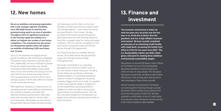**13**

**We are an ambitious and growing organisation with a clear strategic objective of building more affordable homes to meet the evergrowing housing need in our area of operation. Throughout 2021/22 significant investment in new housing supply has enabled us to deliver our highest ever number of new homes completions. This investment has also grown our development pipeline which will support our ambition of delivering 2,000 new homes over 10 years.**

With significant variations in values across our operating area and varied delivery mechanisms, we continue to develop a portfolio that balances tackling housing need in high value areas with securing value for money within our investments. We develop our own homes through direct land purchase and partnerships

2021/22 will represent the largest annual growth by Alliance, with 234 homes completed. This performance represents a growth rate of 3.6%. Additionally, we have continued to provide homes for shared ownership sale. Shared ownership tackles affordability issues within many of our communities and during 21/22 we have sold 33 new shared ownership homes. This has generated an income of £4.2m at an average surplus of 28.9% that will be re-invested in new homes and services.

We remain committed to our operating geography and continue to deliver most of our new homes in North Somerset. Providing homes where we are already a dominant landlord enables us to generate operational value for money in management, by giving creating a bigger economy of scale. Our pipeline in other local authority areas is modest, but we are establishing a growing portfolio in Sedgemoor where we able to secure good opportunities at competitive prices. Over the next two years Sedgemoor will represent our largest local authority operating area outside of North Somerset.

# 12. New homes and the state of the 13. Finance and investment

with developers as this offers us the most flexibility to tackle areas that the market would not naturally address – and control the timing and specification of our homes. We also purchase S106 homes secured through the planning process from the housing market as they offer us greater value for money and speed of delivery. 2021/22 saw the completion of 140 new homes via land-led routes and 94 new homes through S106 agreements.

For 2022/23 we plan to complete 198 new homes, 30 of these will be through land-led routes and 158 new homes through S106 agreements.

> We are currently in the process of arranging our next long-term financing through a private placement which we plan to be in place by the end of the first quarter of 2022/23. We have received re-confirmation of our A1 credit rating from Moody's which will ensure we have access to the most competitve rates available.

> **The economic environment in which we work has been very uncertain over the last year or so, firstly due to Brexit, then the pandemic and now a high inflation economic environment. We have recently completed an extension of our Revolving Credit Facility with Lloyds Bank, increasing the facility from £45m to £75m for five years from 2022. This is a Sustainability Linked Loan (SSL) which gives a discount for meeting three ambitious environmental sustainability targets.**

We produce an annual ESG Report which follows the framework set out in the Sustainability Reporting Standard for Social Housing, for which we were an early adopter. We recognise that 'green investments' are likely to offer further efficiencies in the coming years and we aim to take advantage of these where possible.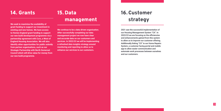

### 14. Grants

**We seek to maximise the availability of grant funding to support our investment in existing and new homes. We have access to Homes England grant funding to support our new build development programme via a partnership agreement with Curo, a West of England Housing Association. We will also identify other opportunities for public subsidy from partner organisations, such as our Strategic Partnership with North Somerset Council which will drive value for money from our new build programme.** 

### 15. Data management

### **We continue to be a data driven organisation. After successfully completing our data management project we now have clear and accurate data on our customers and services. In 2022/23 we will be implementing a refreshed data insights strategy around monitoring and reporting to allow us to enhance our services to our customers.**

**2021 saw the successful implementation of our Housing Management System "CX". In 2022/23 we are focusing on the efficiencies and enhancements gained from this system to allow us to improve our customer offering. Additionally linking "CX" to our Home Repairs System, a customer facing portal and mobile app to allow easier communication and automate work processes between ourselves and our customers.**

# 16.Customer strategy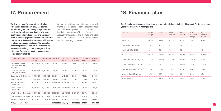

**We drive in value for money through all our purchasing decisions. In 2020, we started transforming our purchasing and procurement services through a categorisation of spends, identifying preferred suppliers and putting in place purchasing agreements with our preferred suppliers to drive in value for money efficiencies in all our purchasing decisions. We have also improved processes around the purchase-topay service, making system changes to drive efficiency. Training across the business was completed in 2021/22.** 

We have robust procurement processes which market test the costs of all our larger contracts, and we fully comply with all procurement legislation. We keep a VFM log of all of our procurement exercises and the following table shows the savings that will be achieved on new contracts starting in 2022/23:

### 17. Procurement

| Contract description                                 | Contract<br>start date | Contract end<br>date | Base price  | Tendered<br>price | Contract<br>term saving | Percentage<br>saving | Annual<br>saving |
|------------------------------------------------------|------------------------|----------------------|-------------|-------------------|-------------------------|----------------------|------------------|
| Veeam back-up and<br>replication software<br>2021-22 | 28/07/2021             | 27/07/2022           | £8,000      | £4,896            | £3,104                  | 38.80%               | £3,104           |
| Legionella and water<br>management services          | 01/11/2021             | 31/10/2027           | £120.000    | £57,000           | £63,000                 | 52.50%               | £10,500          |
| Occupational Health Services 06/11/2021              |                        | 05/11/2025           | £60,000     | £15,600           | £44,400                 | 74.00%               | £11,100          |
| Mobile contract SIMS                                 | 24/11/2021             | 23/11/2023           | £84,000     | £57,000           | £27,000                 | 32.14%               | £13,500          |
| Kitchen and bathroom<br>replacements                 | 01/04/2022             | 31/03/2027           | £1,140,000  | £797,133          | £342,867                | 30.08%               | £68,573          |
| Roofing repairs and<br>replacements                  | 01/04/2022             | 31/03/2027           | £2,646,522  | £1,191,604        | £1,454,917              | 54.97%               | £290,983         |
| UPVC window replacements                             | 01/04/2022             | 31/03/2027           | £4,500,000  | £2,993,730        | £1,506,270              | 33.47%               | £301,254         |
| Edge panelling to PV arrays                          | 01/04/2022             | 31/03/2027           | £1,000,000  | £887,203          | £112,797                | 11.28%               | £22,559          |
| HR and payroll system                                | 01/04/2022             | 31/03/2028           | £450,000    | £211,000          | £239,000                | 53.11%               | £39,833          |
| All figures exclude VAT                              |                        |                      | £10,008,522 | £6,215,167        | £3,793,355              | 37.90%               | £761,408         |

#### **Our financial plan includes all strategic and operational aims detailed in this report. For the next three**

**years our high level VFM targets are:**

### 18. Financial plan

| Measure                          | 21/22<br><b>Budget</b> | 21/22<br><b>YTD</b> | 21/22<br>Forecast | 22/23<br><b>Budget</b> | 23/24<br>Indicative<br><b>Budget</b> | 24/25<br>Indicative<br><b>Budget</b> |
|----------------------------------|------------------------|---------------------|-------------------|------------------------|--------------------------------------|--------------------------------------|
| Gearing %                        | 46.6%                  | 46.9%               | 47.2%             | 47.0%                  | 51.0%                                | 53.9%                                |
| <b>EBITDA-MRI Interest Cover</b> | 2.4                    | 4.0                 | 3.2               | 1.7                    | 1.8                                  | 1.5                                  |
| Headline SHCPU (£'000)           | 4.4                    | 4.3                 | 3.9               | 4.9                    | 4.8                                  | 4.8                                  |
| Operating Margin                 | 22.54%                 | 24.68%              | 22.65%            | 22.54%                 | 23.34%                               | 24.38%                               |
| Overall Operating Margin (VFM)   | 21.29%                 | 24.40%              | 22.38%            | 22.24%                 | 23.02%                               | 24.05%                               |
| Overall Operating Margin (SHL)   | 24.72%                 | na                  | 23.38%            | 26.62%                 | 27.16%                               | 28.12%                               |
| Group Surplus for Period (£'000) | 7,863                  | 6,313               | 7.652             | 8.569                  | 8,809                                | 7,136                                |
| Return on Capital Employed       | 4.7%                   | 4.9%                | 4.5%              | 4.6%                   | 3.9%                                 | 3.5%                                 |
| Reinvestment %                   | 46.6%                  | 40.3%               | 27.3%             | 13.7%                  | 16.8%                                | 15.0%                                |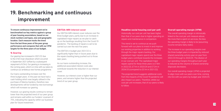# 19. Benchmarking and continuous improvement

**To ensure continuous improvement we've benchmarked our key metrics against a group of peer housing associations, based on our stock numbers and types, size and geographic location. Each measure tracks the trend from the last three years of the peer group performance and compares that with our VFM targets for the three years of our budget.** 

### % Gearing

Our gearing has increased in 2021/22 due to the £16m loan drawdown which occurred in September 2021 (offset by a subsequent repayment of £3m). Our gearing is increasing in the coming years, which is in line with our plans to continue our ambitious new homes programme.

Our loans outstanding increase over the three budget years. In the past we have had a cash holding which was largely utilised in the purchase of Marina Gardens, therefore new developments will be funded by new borrowings which will increase our gearing.

However, our gearing results continue to remain lower than the projected trend of our peer group and remains well within our funders' covenant of 75%, indicating the capacity within our business plan for future investment.

#### EBITDA-MRI interest cover

Our EBITDA-MRI interest cover reduces over the three budget years, partly due to an increase in capitalised major repairs as we plan to catch up on the backlogs resulting from the Covid-19 pandemic. The backlog of repairs is set to be carried out over the next five years.

The EBITDA in budget year 2021/22 is significantly higher than in future years due to the repairs backlog being pushed out to those later years.

As our loans outstanding increase, the additional associated interest costs also contribute towards the reduction in our interest cover.

However, our interest cover is higher than our peers, and remains higher than the projected trend of our peer group.

#### Headline social housing cost per unit

Historically, our cost per unit has been higher than that of our peers due to higher spending on repairs and maintenance in comparison.

This trend is set to continue as we push forward with our plans to invest in and improve our existing properties in addition to working through the major repairs backlog. Our capitalised major repairs spend over the three budget years contribute towards the increases in our cost per unit. The capitalised major repairs spend for these three years is £7.8m in 2022/23, £7.1m in 2023/24 and £7.2m in 2024/25 (compared to £3.1m in 2021/22).

The projected trend suggests additional costs from the impacts of the Covid-19 pandemic will also impact our peers. Therefore, whilst our cost per unit increases, that of our peers is likely to follow.

#### Overall operating margin (VFM)

The overall operating margin is intrinsically linked to the cost per unit measure above; the more that is spent on services, the less the operating margin is likely to be (assuming income remains fairly static).

The increase in our operating margins over the three budget years is impacted by reduced shared ownership activity year-on-year from 2022/23 through to 2024/25. The dilution of our operating margins throughout each year is reduced as the volume of shared ownership disposals decreases.

Our overall operating margin (VFM) is projected to align more with our peers over time, coming into line with our peers by budget year 2024/25.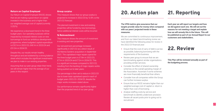

### Return on Capital Employed

Our Return on Capital Employed (ROCE) shows that we are making a good return on capital invested in the business and is higher than our weighted average cost of capital (currently 3.252%)

We experience a downward trend in the three budget years. Our operating surpluses will be impacted by increased interest costs on new borrowings to fund our ambitious development programme, where budgeted capital expenditure is £32.1m in 2022/23, £48.1m in 2023/24 and £51.0m in 2024/25.

Despite this, our results remain healthy throughout and are bolstered by a strong balance sheet which includes the significant investments we plan to make in our existing properties.

Assuming that our peer group retain their trend, we will remain higher than the average of our peers in this respect.

### Group surplus

This measure shows that our group surplus is projected to increase in 2022/23 by 12.8% vs the 2021/22 forecast.

The planned investment in new and existing properties will be funded by new borrowings, hence additional interest costs will be incurred.

> We are committed to continuous improvement. and from our latest benchmarking review we have identified the following areas for review in the 2022/23 financial year:

### % Reinvestment

This measure shows the amount of investment in existing and new properties.

Our reinvestment percentage increases significantly in 2021/22 as a direct result of the Marina Gardens acquisition in September 2021. The capitalised major repairs spend for the three budget years is £7.8m in 2022/23, £7.1m in 2023/24 and £7.2m in 2024/25. This is a significant increase compared to 2021/22, resulting from the backlog of major repairs works being pushed out to later years.

- Ensure that the cost of carry of debt is as low as possible, balancing borrowing with the requirements of the business.
- Review peer group to ensure that we are benchmarking against similar organisations providing similar services.
- $\bullet$  Consider the effect of shared ownership schemes on the overall operating margin of the Association. Ascertain if some schemes are more financially beneficial than others.
- Consider how all companies within the Group can further increase surplus.
- Ensure that our ROCE remains higher than our weighted average cost of capital i.e. return is higher than cost of borrowing.
- Analyse staffing costs by service and benchmark to identify under/over provision. Review all vacant posts prior to going out to recruitment.

Our percentage is then set to reduce in 2022/23 due to lower total capitalised spend in each of budget years 2022/23 -2024/25, despite the major works increases stated above.

Our performance remains significantly higher than the projected trend of our peer group.

**The VFM metrics give assurance that our targets provide value for money when compared with our peers' projected trends in these measures.**

## 20. Action plan

**This Plan will be reviewed annually as part of the budgeting process.**

# 22. Review

**Each year we will report our targets and how we did against each one. We will set out the reasons for not meeting a target and explain how we will remedy this in the future. This will be published as part of our Annual Report to our customers and stakeholders.**

# 21. Reporting